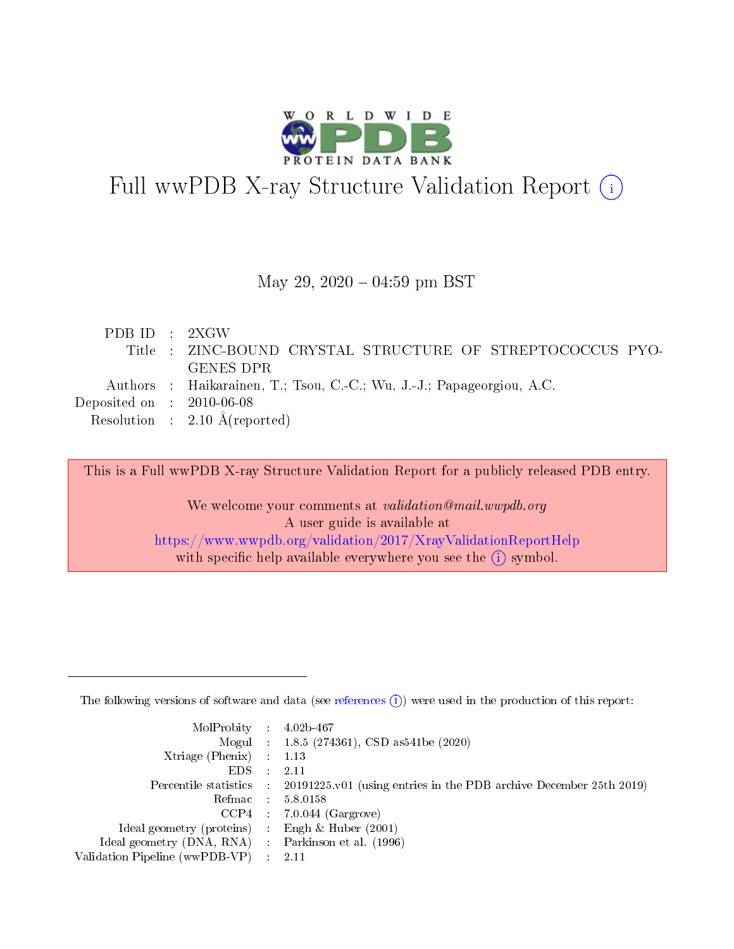

# Full wwPDB X-ray Structure Validation Report (i)

#### May 29,  $2020 - 04:59$  pm BST

| PDB ID : 2XGW               |                                                                       |
|-----------------------------|-----------------------------------------------------------------------|
|                             | Title : ZINC-BOUND CRYSTAL STRUCTURE OF STREPTOCOCCUS PYO-            |
|                             | GENES DPR                                                             |
|                             | Authors : Haikarainen, T.; Tsou, C.-C.; Wu, J.-J.; Papageorgiou, A.C. |
| Deposited on : $2010-06-08$ |                                                                       |
|                             | Resolution : $2.10 \text{ Å}$ (reported)                              |

This is a Full wwPDB X-ray Structure Validation Report for a publicly released PDB entry.

We welcome your comments at validation@mail.wwpdb.org A user guide is available at <https://www.wwpdb.org/validation/2017/XrayValidationReportHelp> with specific help available everywhere you see the  $(i)$  symbol.

The following versions of software and data (see [references](https://www.wwpdb.org/validation/2017/XrayValidationReportHelp#references)  $(1)$ ) were used in the production of this report:

| $MolProbability$ : 4.02b-467                      |                              |                                                                                            |
|---------------------------------------------------|------------------------------|--------------------------------------------------------------------------------------------|
|                                                   |                              | Mogul : $1.8.5$ (274361), CSD as 541be (2020)                                              |
| Xtriage (Phenix) $: 1.13$                         |                              |                                                                                            |
| EDS –                                             | $\sim$                       | -2.11                                                                                      |
|                                                   |                              | Percentile statistics : 20191225.v01 (using entries in the PDB archive December 25th 2019) |
| Refmac : 5.8.0158                                 |                              |                                                                                            |
| CCP4                                              |                              | $7.0.044$ (Gargrove)                                                                       |
| Ideal geometry (proteins)                         | $\mathcal{L}_{\mathrm{eff}}$ | Engh & Huber $(2001)$                                                                      |
| Ideal geometry (DNA, RNA) Parkinson et al. (1996) |                              |                                                                                            |
| Validation Pipeline (wwPDB-VP) : 2.11             |                              |                                                                                            |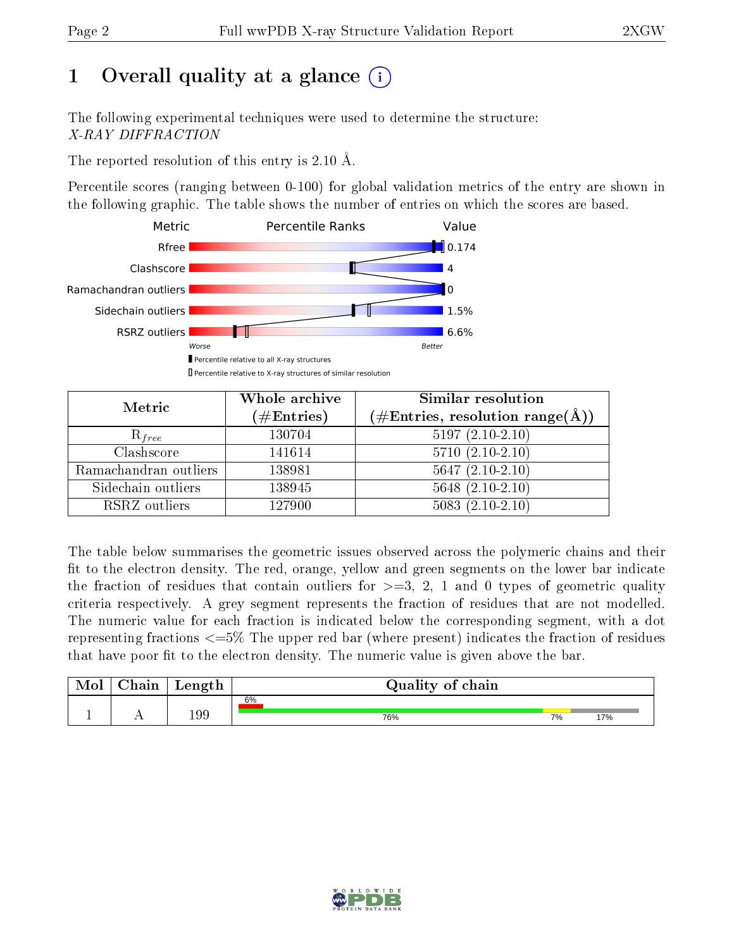## 1 [O](https://www.wwpdb.org/validation/2017/XrayValidationReportHelp#overall_quality)verall quality at a glance  $(i)$

The following experimental techniques were used to determine the structure: X-RAY DIFFRACTION

The reported resolution of this entry is 2.10 Å.

Percentile scores (ranging between 0-100) for global validation metrics of the entry are shown in the following graphic. The table shows the number of entries on which the scores are based.



| Metric                | Whole archive<br>$(\#\mathrm{Entries})$ | Similar resolution<br>$(\#\text{Entries},\,\text{resolution}\,\,\text{range}(\textup{\AA}))$ |
|-----------------------|-----------------------------------------|----------------------------------------------------------------------------------------------|
| $R_{free}$            | 130704                                  | $5197(2.10-2.10)$                                                                            |
| Clashscore            | 141614                                  | $5710(2.10-2.10)$                                                                            |
| Ramachandran outliers | 138981                                  | $5647 (2.10-2.10)$                                                                           |
| Sidechain outliers    | 138945                                  | $5648(2.10-2.10)$                                                                            |
| RSRZ outliers         | 127900                                  | $5083(2.10-2.10)$                                                                            |

The table below summarises the geometric issues observed across the polymeric chains and their fit to the electron density. The red, orange, yellow and green segments on the lower bar indicate the fraction of residues that contain outliers for  $>=3, 2, 1$  and 0 types of geometric quality criteria respectively. A grey segment represents the fraction of residues that are not modelled. The numeric value for each fraction is indicated below the corresponding segment, with a dot representing fractions  $\epsilon=5\%$  The upper red bar (where present) indicates the fraction of residues that have poor fit to the electron density. The numeric value is given above the bar.

| Mol           | hain | Length | Quality of chain |    |     |
|---------------|------|--------|------------------|----|-----|
|               |      |        | 6%               |    |     |
| <u>. на п</u> | . .  | 199    | 76%              | 7% | 17% |

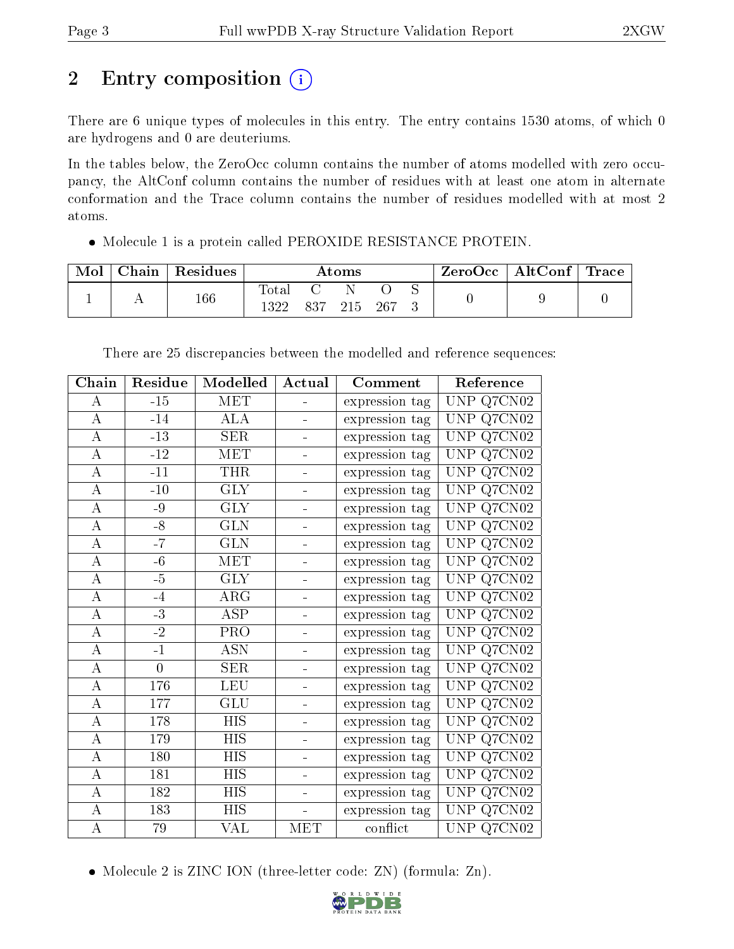## 2 Entry composition (i)

There are 6 unique types of molecules in this entry. The entry contains 1530 atoms, of which 0 are hydrogens and 0 are deuteriums.

In the tables below, the ZeroOcc column contains the number of atoms modelled with zero occupancy, the AltConf column contains the number of residues with at least one atom in alternate conformation and the Trace column contains the number of residues modelled with at most 2 atoms.

Molecule 1 is a protein called PEROXIDE RESISTANCE PROTEIN.

| Mol | Chain | $\,^{\shortmid}$ Residues |                           |     | $\rm\bf Atoms$ |     |  | $\rm ZeroOcc \mid AltConf \mid Trace$ |  |
|-----|-------|---------------------------|---------------------------|-----|----------------|-----|--|---------------------------------------|--|
|     |       | $166\,$                   | $\text{Total}$<br>1 ว ว ว | 837 | 215            | 267 |  |                                       |  |

| Chain            | Residue        | Modelled         | Actual                   | Comment        | Reference                                |
|------------------|----------------|------------------|--------------------------|----------------|------------------------------------------|
| $\bf{A}$         | $-15$          | MET              |                          | expression tag | UNP Q7CN02                               |
| $\bf{A}$         | $-14$          | <b>ALA</b>       |                          | expression tag | Q7CN02<br>UNP                            |
| А                | $-13$          | <b>SER</b>       |                          | expression tag | Q7CN02<br><b>UNP</b>                     |
| $\boldsymbol{A}$ | $-12$          | MET              |                          | expression tag | Q7CN02<br><b>UNP</b>                     |
| A                | $-11$          | <b>THR</b>       |                          | expression tag | $Q\overline{7CN02}$<br><b>UNP</b>        |
| $\boldsymbol{A}$ | $-10$          | <b>GLY</b>       | $\blacksquare$           | expression tag | Q7CN02<br><b>UNP</b>                     |
| $\bf{A}$         | -9             | <b>GLY</b>       | ÷                        | expression tag | Q7CN02<br><b>UNP</b>                     |
| $\bf{A}$         | $-8$           | <b>GLN</b>       | $\blacksquare$           | expression tag | Q7CN02<br><b>UNP</b>                     |
| $\overline{A}$   | $-7$           | <b>GLN</b>       |                          | expression tag | Q7CN02<br><b>UNP</b>                     |
| $\bf{A}$         | $-6$           | MET              |                          | expression tag | $\overline{\text{Q7C}N02}$<br><b>UNP</b> |
| $\boldsymbol{A}$ | $-5$           | <b>GLY</b>       |                          | expression tag | Q7CN02<br><b>UNP</b>                     |
| $\boldsymbol{A}$ | $-4$           | $\rm{ARG}$       |                          | expression tag | <b>UNP</b><br>Q7CN02                     |
| $\boldsymbol{A}$ | $-3$           | <b>ASP</b>       |                          | expression tag | Q7CN02<br><b>UNP</b>                     |
| $\boldsymbol{A}$ | $-2$           | PRO              | ÷                        | expression tag | Q7CN02<br><b>UNP</b>                     |
| $\boldsymbol{A}$ | $-1$           | <b>ASN</b>       |                          | expression tag | Q7CN02<br>UNP                            |
| $\boldsymbol{A}$ | $\overline{0}$ | <b>SER</b>       |                          | expression tag | Q7CN02<br><b>UNP</b>                     |
| $\bf{A}$         | 176            | <b>LEU</b>       |                          | expression tag | $Q7C\overline{N02}$<br><b>UNP</b>        |
| $\boldsymbol{A}$ | 177            | GLU              |                          | expression tag | Q7CN02<br>UNP                            |
| $\boldsymbol{A}$ | 178            | HIS              |                          | expression tag | Q7CN02<br><b>UNP</b>                     |
| $\boldsymbol{A}$ | 179            | <b>HIS</b>       |                          | expression tag | Q7CN02<br><b>UNP</b>                     |
| $\boldsymbol{A}$ | 180            | <b>HIS</b>       |                          | expression tag | Q7CN02<br><b>UNP</b>                     |
| $\boldsymbol{A}$ | 181            | <b>HIS</b>       | $\overline{\phantom{0}}$ | expression tag | $Q\overline{7CN02}$<br>UNP               |
| $\bf{A}$         | 182            | <b>HIS</b>       | $\overline{a}$           | expression tag | Q7CN02<br>UNP                            |
| $\overline{A}$   | 183            | $\overline{HIS}$ |                          | expression tag | Q7CN02<br><b>UNP</b>                     |
| $\boldsymbol{A}$ | 79             | VAL              | MET                      | conflict       | UNP Q7CN02                               |

There are 25 discrepancies between the modelled and reference sequences:

<sup>•</sup> Molecule 2 is ZINC ION (three-letter code: ZN) (formula: Zn).

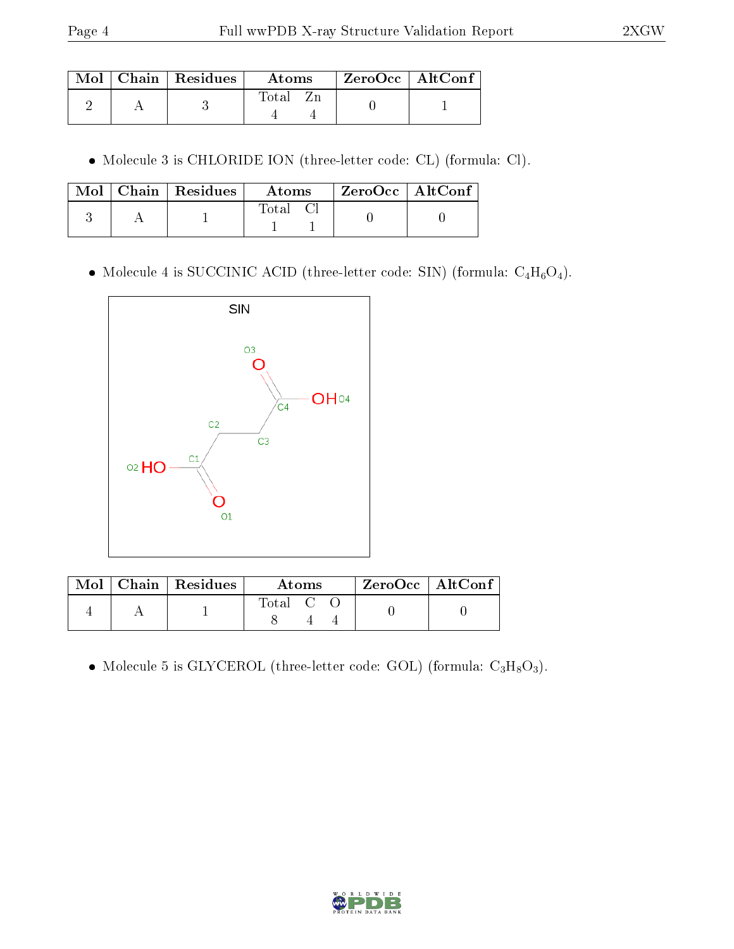|  | $\text{Mol}$   Chain   Residues | Atoms | $\mid$ ZeroOcc $\mid$ AltConf |  |
|--|---------------------------------|-------|-------------------------------|--|
|  |                                 | Total |                               |  |

Molecule 3 is CHLORIDE ION (three-letter code: CL) (formula: Cl).

|  | $\text{Mol}$   Chain   Residues | Atoms    | ZeroOcc   AltConf |  |
|--|---------------------------------|----------|-------------------|--|
|  |                                 | Total Cl |                   |  |

 $\bullet$  Molecule 4 is SUCCINIC ACID (three-letter code: SIN) (formula:  $\rm{C_4H_6O_4}).$ 



|  | $\text{Mol}$   Chain   Residues | Atoms                                                   | $ZeroOcc \mid AltConf$ |  |
|--|---------------------------------|---------------------------------------------------------|------------------------|--|
|  |                                 | $\begin{bmatrix} \text{Total} & \text{C} \end{bmatrix}$ |                        |  |

 $\bullet$  Molecule 5 is GLYCEROL (three-letter code: GOL) (formula:  $\rm{C_3H_8O_3}).$ 

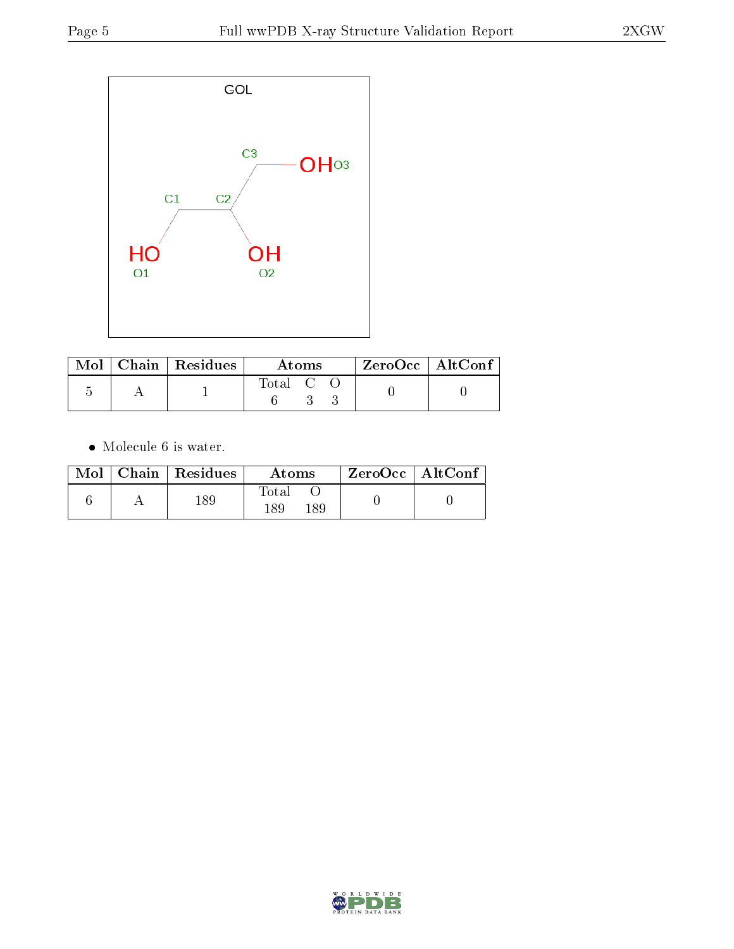

|  | $\text{Mol}$   Chain   Residues | Atoms                                                   |  |  | $ZeroOcc \   \$ AltConf |  |
|--|---------------------------------|---------------------------------------------------------|--|--|-------------------------|--|
|  |                                 | $\begin{bmatrix} \text{Total} & \text{C} \end{bmatrix}$ |  |  |                         |  |

• Molecule 6 is water.

| Mol | Chain   Residues | Atoms                     | ZeroOcc   AltConf |  |
|-----|------------------|---------------------------|-------------------|--|
|     | 189              | $\rm Total$<br>189<br>-89 |                   |  |

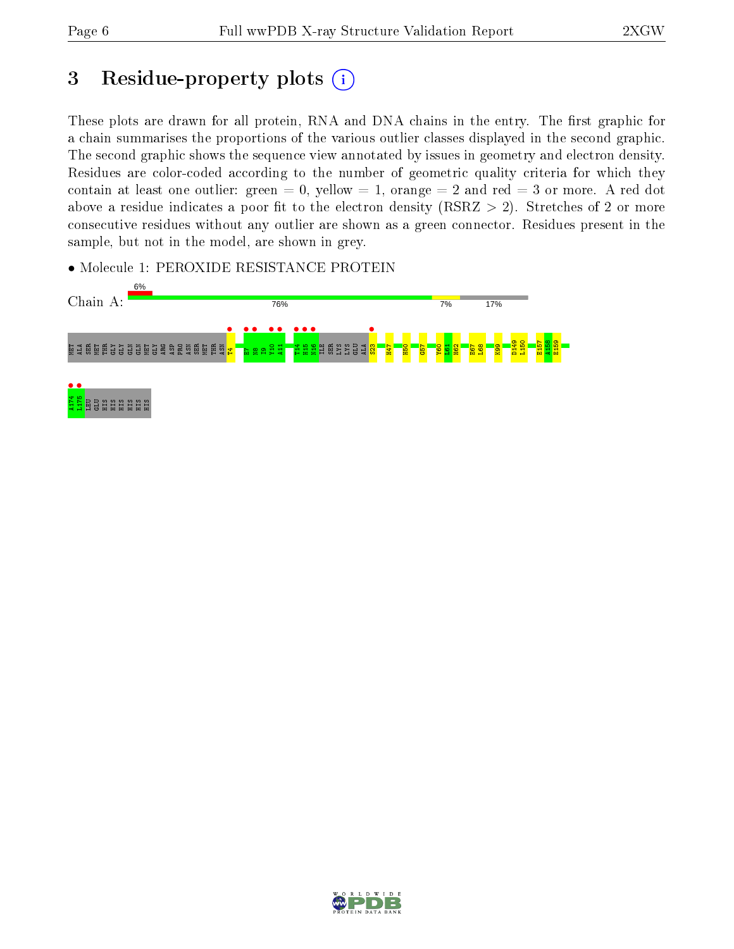## 3 Residue-property plots  $(i)$

These plots are drawn for all protein, RNA and DNA chains in the entry. The first graphic for a chain summarises the proportions of the various outlier classes displayed in the second graphic. The second graphic shows the sequence view annotated by issues in geometry and electron density. Residues are color-coded according to the number of geometric quality criteria for which they contain at least one outlier: green  $= 0$ , yellow  $= 1$ , orange  $= 2$  and red  $= 3$  or more. A red dot above a residue indicates a poor fit to the electron density (RSRZ  $> 2$ ). Stretches of 2 or more consecutive residues without any outlier are shown as a green connector. Residues present in the sample, but not in the model, are shown in grey.

• Molecule 1: PEROXIDE RESISTANCE PROTEIN



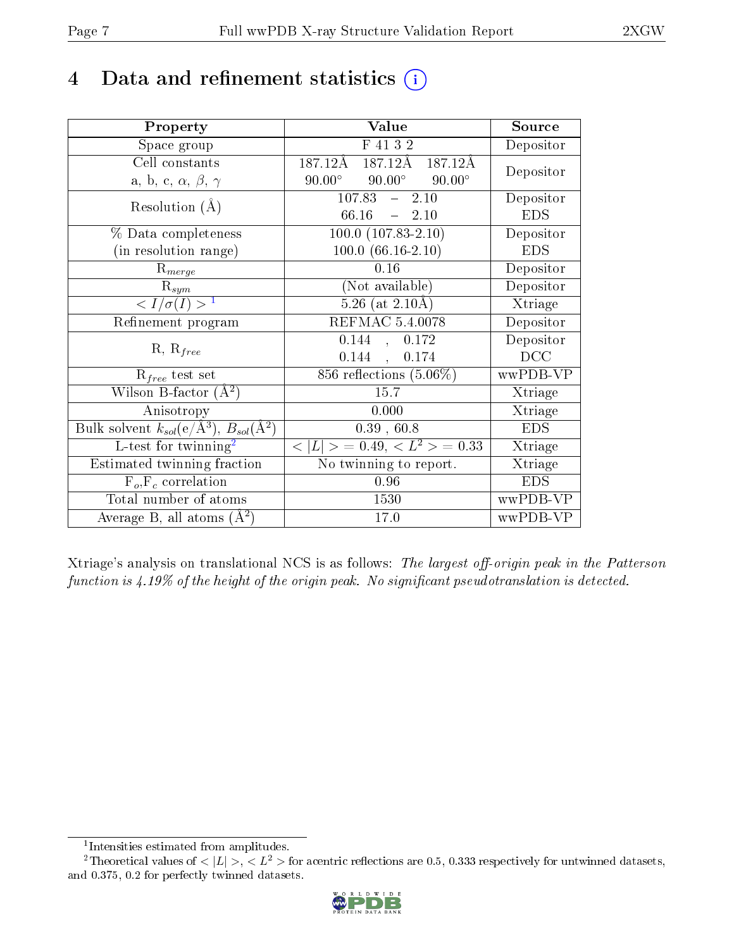## 4 Data and refinement statistics  $(i)$

| Property                                                                | Value                                             | Source     |
|-------------------------------------------------------------------------|---------------------------------------------------|------------|
| Space group                                                             | F 41 3 2                                          | Depositor  |
| Cell constants                                                          | $187.\overline{12A}$<br>187.12Å<br>187.12Å        | Depositor  |
| a, b, c, $\alpha$ , $\beta$ , $\gamma$                                  | $90.00^\circ$<br>$90.00^{\circ}$<br>$90.00^\circ$ |            |
| Resolution $(A)$                                                        | $107.83 - 2.10$                                   | Depositor  |
|                                                                         | $-2.10$<br>66.16                                  | <b>EDS</b> |
| % Data completeness                                                     | $100.0 (107.83 - 2.10)$                           | Depositor  |
| (in resolution range)                                                   | $100.0 (66.16-2.10)$                              | <b>EDS</b> |
| $R_{merge}$                                                             | 0.16                                              | Depositor  |
| $\mathrm{R}_{sym}$                                                      | (Not available)                                   | Depositor  |
| $\langle I/\sigma(I) \rangle^{-1}$                                      | $5.26$ (at $2.10\text{\AA}$ )                     | Xtriage    |
| Refinement program                                                      | REFMAC 5.4.0078                                   | Depositor  |
|                                                                         | 0.144<br>, 0.172                                  | Depositor  |
| $R, R_{free}$                                                           | $0.144$ ,<br>0.174                                | DCC        |
| $R_{free}$ test set                                                     | 856 reflections $(5.06\%)$                        | wwPDB-VP   |
| Wilson B-factor $(A^2)$                                                 | 15.7                                              | Xtriage    |
| Anisotropy                                                              | 0.000                                             | Xtriage    |
| Bulk solvent $k_{sol}(\mathrm{e}/\mathrm{A}^3),\,B_{sol}(\mathrm{A}^2)$ | 0.39, 60.8                                        | <b>EDS</b> |
| L-test for twinning <sup>2</sup>                                        | $< L >$ = 0.49, $< L^2 >$ = 0.33                  | Xtriage    |
| Estimated twinning fraction                                             | No twinning to report.                            | Xtriage    |
| $\overline{F_o, F_c}$ correlation                                       | 0.96                                              | <b>EDS</b> |
| Total number of atoms                                                   | 1530                                              | wwPDB-VP   |
| Average B, all atoms $(A^2)$                                            | 17.0                                              | wwPDB-VP   |

Xtriage's analysis on translational NCS is as follows: The largest off-origin peak in the Patterson function is  $4.19\%$  of the height of the origin peak. No significant pseudotranslation is detected.

<sup>&</sup>lt;sup>2</sup>Theoretical values of  $\langle |L| \rangle$ ,  $\langle L^2 \rangle$  for acentric reflections are 0.5, 0.333 respectively for untwinned datasets, and 0.375, 0.2 for perfectly twinned datasets.



<span id="page-6-1"></span><span id="page-6-0"></span><sup>1</sup> Intensities estimated from amplitudes.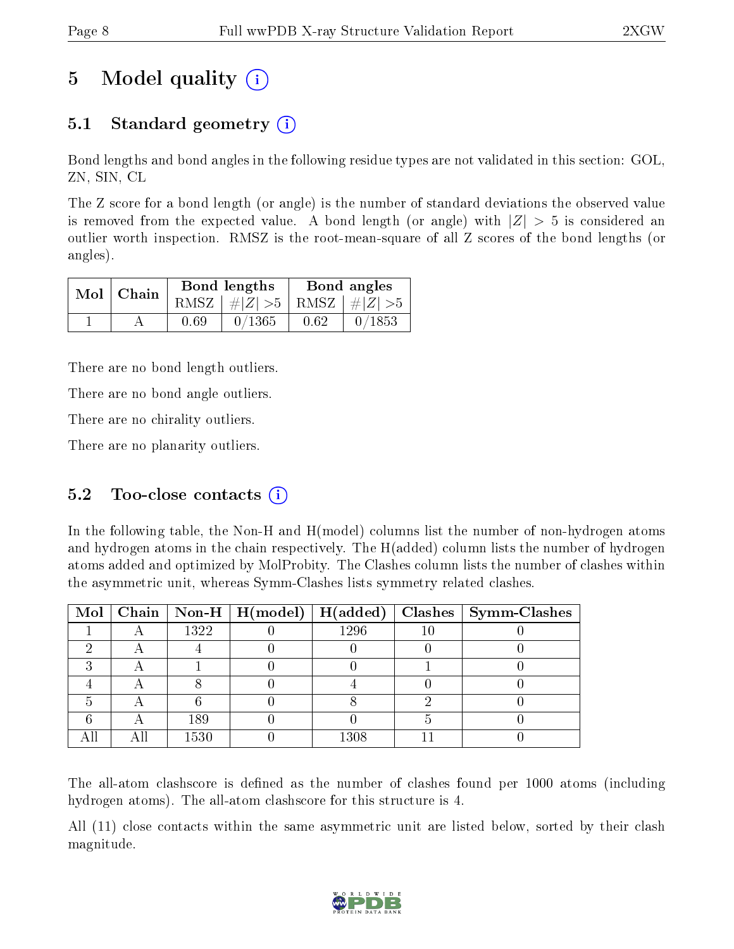## 5 Model quality  $(i)$

## 5.1 Standard geometry (i)

Bond lengths and bond angles in the following residue types are not validated in this section: GOL, ZN, SIN, CL

The Z score for a bond length (or angle) is the number of standard deviations the observed value is removed from the expected value. A bond length (or angle) with  $|Z| > 5$  is considered an outlier worth inspection. RMSZ is the root-mean-square of all Z scores of the bond lengths (or angles).

| Bond lengths<br>$Mol$   Chain |      |                                 | Bond angles |        |
|-------------------------------|------|---------------------------------|-------------|--------|
|                               |      | RMSZ $ #Z  > 5$ RMSZ $ #Z  > 5$ |             |        |
|                               | 0.69 | 0/1365                          | 0.62        | 0/1853 |

There are no bond length outliers.

There are no bond angle outliers.

There are no chirality outliers.

There are no planarity outliers.

### 5.2 Too-close contacts  $(i)$

In the following table, the Non-H and H(model) columns list the number of non-hydrogen atoms and hydrogen atoms in the chain respectively. The H(added) column lists the number of hydrogen atoms added and optimized by MolProbity. The Clashes column lists the number of clashes within the asymmetric unit, whereas Symm-Clashes lists symmetry related clashes.

|  |      | Mol   Chain   Non-H   $H (model)$   $H (added)$ |      | $Class \mid Symm$ -Clashes |
|--|------|-------------------------------------------------|------|----------------------------|
|  | 1322 |                                                 | 1296 |                            |
|  |      |                                                 |      |                            |
|  |      |                                                 |      |                            |
|  |      |                                                 |      |                            |
|  |      |                                                 |      |                            |
|  | 189  |                                                 |      |                            |
|  | 1530 |                                                 | 1308 |                            |

The all-atom clashscore is defined as the number of clashes found per 1000 atoms (including hydrogen atoms). The all-atom clashscore for this structure is 4.

All (11) close contacts within the same asymmetric unit are listed below, sorted by their clash magnitude.

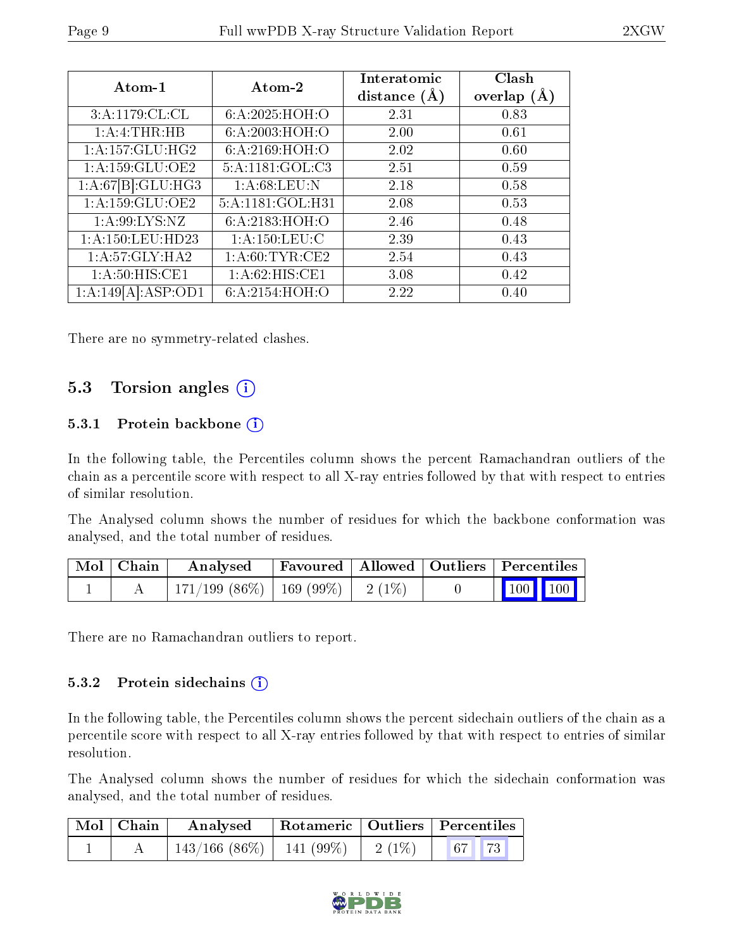| Atom-1              | Atom-2            | Interatomic<br>distance $(A)$ | Clash<br>overlap $(A)$ |
|---------------------|-------------------|-------------------------------|------------------------|
| 3:A:1179:CL:CL      | 6:A:2025:HOH:O    | 2.31                          | 0.83                   |
| 1: A: 4: THEN: HB   | 6:A:2003:HOH:O    | 2.00                          | 0.61                   |
| 1:A:157:GLU:HG2     | 6:A:2169:HOH:O    | 2.02                          | 0.60                   |
| 1: A: 159: GLU: OE2 | 5:A:1181:GOL:C3   | 2.51                          | 0.59                   |
| 1:A:67[B]:GLU:HG3   | 1: A:68:LEU:N     | 2.18                          | 0.58                   |
| 1:A:159:GLU:OE2     | 5:A:1181:GOL:H31  | 2.08                          | 0.53                   |
| 1: A:99: LYS: NZ    | 6:A:2183:HOH:O    | 2.46                          | 0.48                   |
| 1:A:150:LEU:HD23    | 1: A: 150: LEU: C | 2.39                          | 0.43                   |
| 1: A:57: GLY: HA2   | 1: A:60:TYR:CE2   | 2.54                          | 0.43                   |
| 1: A:50: HIS: CE1   | 1: A:62: HIS: CE1 | 3.08                          | 0.42                   |
| 1:A:149[A]:ASP:OD1  | 6:A:2154:HOH:O    | 2.22                          | 0.40                   |

There are no symmetry-related clashes.

### 5.3 Torsion angles (i)

#### 5.3.1 Protein backbone (i)

In the following table, the Percentiles column shows the percent Ramachandran outliers of the chain as a percentile score with respect to all X-ray entries followed by that with respect to entries of similar resolution.

The Analysed column shows the number of residues for which the backbone conformation was analysed, and the total number of residues.

| $\lceil$ Mol $\lceil$ Chain $\lceil$ | Analysed                                | Favoured   Allowed   Outliers   Percentiles |  |                         |  |
|--------------------------------------|-----------------------------------------|---------------------------------------------|--|-------------------------|--|
|                                      | $171/199$ (86\%)   169 (99\%)   2 (1\%) |                                             |  | $\vert$ 100 100 $\vert$ |  |

There are no Ramachandran outliers to report.

#### 5.3.2 Protein sidechains  $(i)$

In the following table, the Percentiles column shows the percent sidechain outliers of the chain as a percentile score with respect to all X-ray entries followed by that with respect to entries of similar resolution.

The Analysed column shows the number of residues for which the sidechain conformation was analysed, and the total number of residues.

| $\mid$ Mol $\mid$ Chain | Analysed                                |  | Rotameric   Outliers   Percentiles |
|-------------------------|-----------------------------------------|--|------------------------------------|
|                         | $143/166$ (86\%)   141 (99\%)   2 (1\%) |  | $\vert 67 \vert \vert 73 \vert$    |

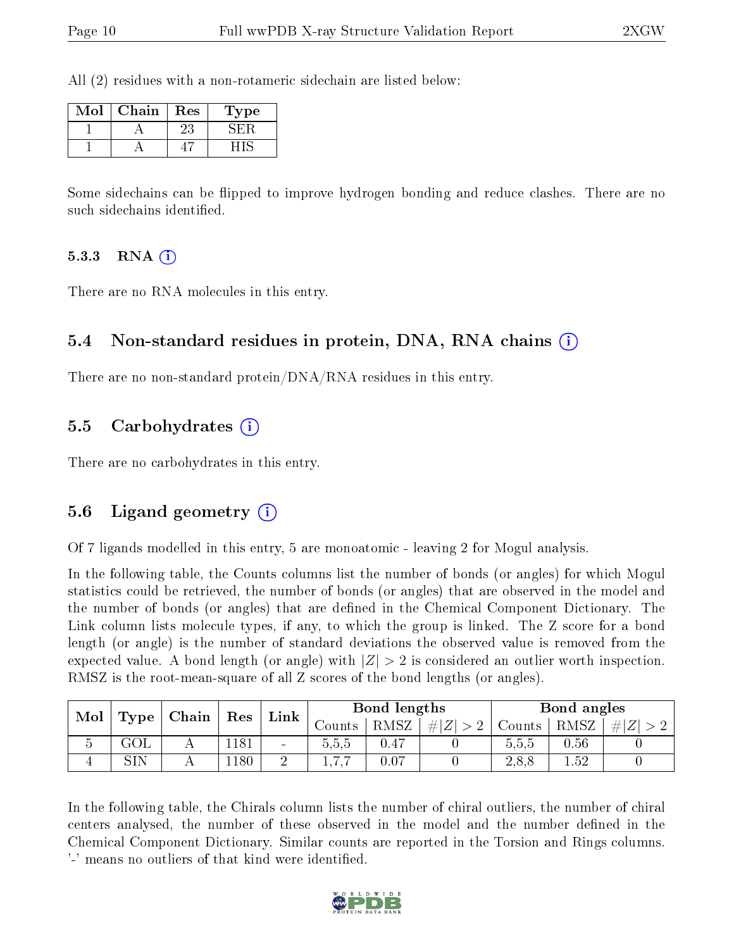All (2) residues with a non-rotameric sidechain are listed below:

| Mol | Chain | Res | Type |
|-----|-------|-----|------|
|     |       | 23  |      |
|     |       |     |      |

Some sidechains can be flipped to improve hydrogen bonding and reduce clashes. There are no such sidechains identified.

#### 5.3.3 RNA  $(i)$

There are no RNA molecules in this entry.

#### 5.4 Non-standard residues in protein, DNA, RNA chains (i)

There are no non-standard protein/DNA/RNA residues in this entry.

#### 5.5 Carbohydrates (i)

There are no carbohydrates in this entry.

#### 5.6 Ligand geometry (i)

Of 7 ligands modelled in this entry, 5 are monoatomic - leaving 2 for Mogul analysis.

In the following table, the Counts columns list the number of bonds (or angles) for which Mogul statistics could be retrieved, the number of bonds (or angles) that are observed in the model and the number of bonds (or angles) that are defined in the Chemical Component Dictionary. The Link column lists molecule types, if any, to which the group is linked. The Z score for a bond length (or angle) is the number of standard deviations the observed value is removed from the expected value. A bond length (or angle) with  $|Z| > 2$  is considered an outlier worth inspection. RMSZ is the root-mean-square of all Z scores of the bond lengths (or angles).

| Mol | Type |  | Link |        | $\mid$ Chain<br>$\vert$ Res |                  |     | Bond lengths |      |        | Bond angles |  |
|-----|------|--|------|--------|-----------------------------|------------------|-----|--------------|------|--------|-------------|--|
|     |      |  |      |        | $\sqrt{\text{counts}}$      | RMSZ             | # Z | Counts       | RMSZ | Ζ<br># |             |  |
|     | いけし  |  | 181  | $\sim$ | 5,5,5                       | 0.47             |     | 0.5.5        | 0.56 |        |             |  |
|     | SIN  |  | 180  |        |                             | 0.0 <sup>2</sup> |     | 2.8.8        | 1.52 |        |             |  |

In the following table, the Chirals column lists the number of chiral outliers, the number of chiral centers analysed, the number of these observed in the model and the number defined in the Chemical Component Dictionary. Similar counts are reported in the Torsion and Rings columns. '-' means no outliers of that kind were identified.

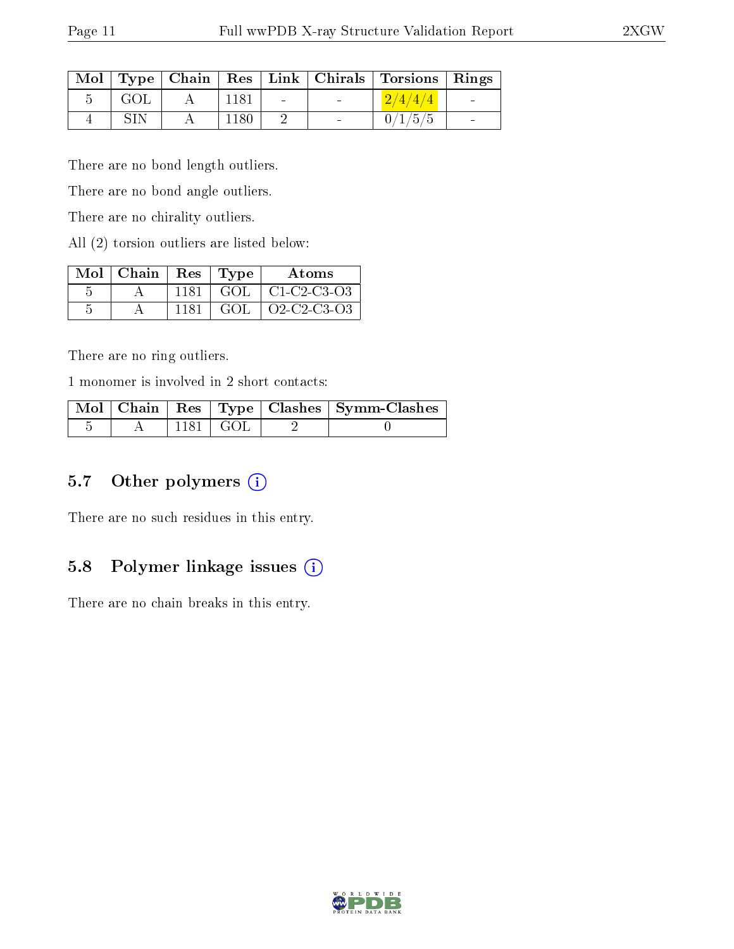|     |      |        | Mol   Type   Chain   Res   Link   Chirals   Torsions   Rings |  |
|-----|------|--------|--------------------------------------------------------------|--|
| GOL | 1181 | $\sim$ | 2/4/4/4                                                      |  |
| SIN | 1180 |        | 0/1/5/5                                                      |  |

There are no bond length outliers.

There are no bond angle outliers.

There are no chirality outliers.

All (2) torsion outliers are listed below:

|   | $Mol$   Chain   Res   Type |      |     | Atoms              |
|---|----------------------------|------|-----|--------------------|
| h |                            | 1181 | GOL | $\mid$ C1-C2-C3-O3 |
| h |                            | 1181 | GOL | O2-C2-C3-O3        |

There are no ring outliers.

1 monomer is involved in 2 short contacts:

|  |                        | Mol   Chain   Res   Type   Clashes   Symm-Clashes |
|--|------------------------|---------------------------------------------------|
|  | $1181 \mid \text{GOL}$ |                                                   |

#### 5.7 [O](https://www.wwpdb.org/validation/2017/XrayValidationReportHelp#nonstandard_residues_and_ligands)ther polymers (i)

There are no such residues in this entry.

## 5.8 Polymer linkage issues (i)

There are no chain breaks in this entry.

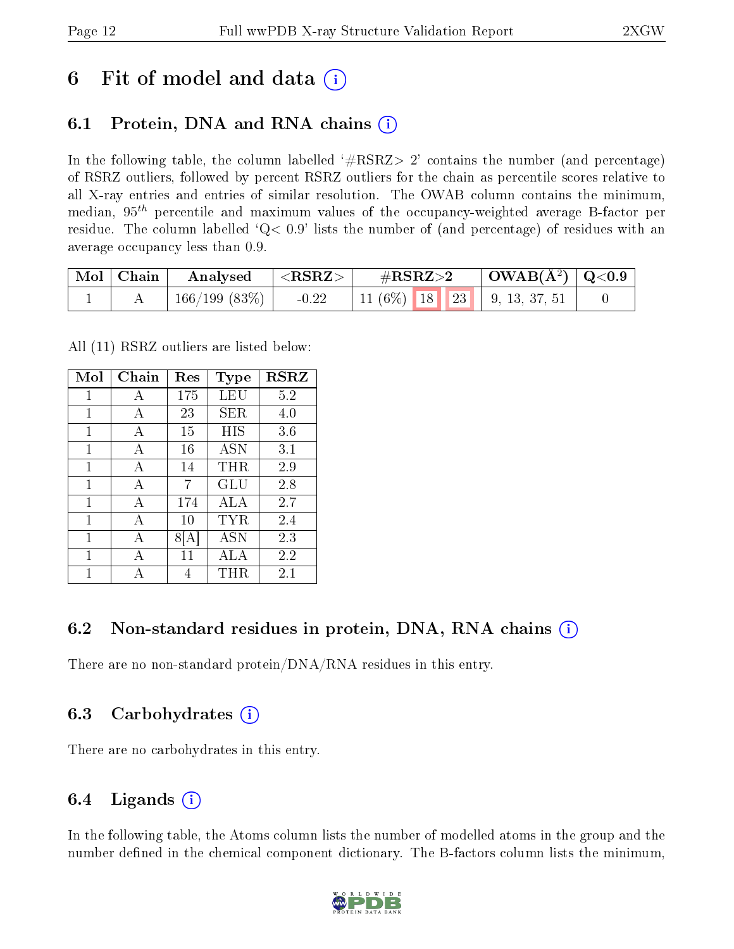## 6 Fit of model and data  $\left( \cdot \right)$

### 6.1 Protein, DNA and RNA chains (i)

In the following table, the column labelled  $#RSRZ> 2'$  contains the number (and percentage) of RSRZ outliers, followed by percent RSRZ outliers for the chain as percentile scores relative to all X-ray entries and entries of similar resolution. The OWAB column contains the minimum, median,  $95<sup>th</sup>$  percentile and maximum values of the occupancy-weighted average B-factor per residue. The column labelled  $Q< 0.9$  lists the number of (and percentage) of residues with an average occupancy less than 0.9.

| $\mid$ Mol $\mid$ Chain | Analysed $ \langle \text{RSRZ} \rangle $ |         | $\rm \#RSRZ{>}2$                             |  | $\mid$ OWAB(Å <sup>2</sup> ) $\mid$ Q<0.9 |
|-------------------------|------------------------------------------|---------|----------------------------------------------|--|-------------------------------------------|
|                         | $^{\prime}$ 166/199 (83%) $\vert$        | $-0.22$ | 11 (6%)   18   23   9, 13, 37, 51 $^{\circ}$ |  |                                           |

All (11) RSRZ outliers are listed below:

| Mol | Chain        | Res | <b>Type</b> | <b>RSRZ</b> |
|-----|--------------|-----|-------------|-------------|
| 1   | A            | 175 | LEU         | 5.2         |
| 1   | A            | 23  | SER         | 4.0         |
| 1   | A            | 15  | НIS         | 3.6         |
| 1   | A            | 16  | <b>ASN</b>  | 3.1         |
| 1   | A            | 14  | THR         | 2.9         |
| 1   | А            | 7   | GLU         | 2.8         |
| 1   | $\mathbf{A}$ | 174 | ALA         | 2.7         |
| 1   | A            | 10  | TYR         | 2.4         |
| 1   | А            |     | <b>ASN</b>  | 2.3         |
| 1   | A            | 11  | ALA         | 2.2         |
|     |              | 4   | THR         | 2.1         |

### 6.2 Non-standard residues in protein, DNA, RNA chains (i)

There are no non-standard protein/DNA/RNA residues in this entry.

#### 6.3 Carbohydrates (i)

There are no carbohydrates in this entry.

### 6.4 Ligands  $(i)$

In the following table, the Atoms column lists the number of modelled atoms in the group and the number defined in the chemical component dictionary. The B-factors column lists the minimum,